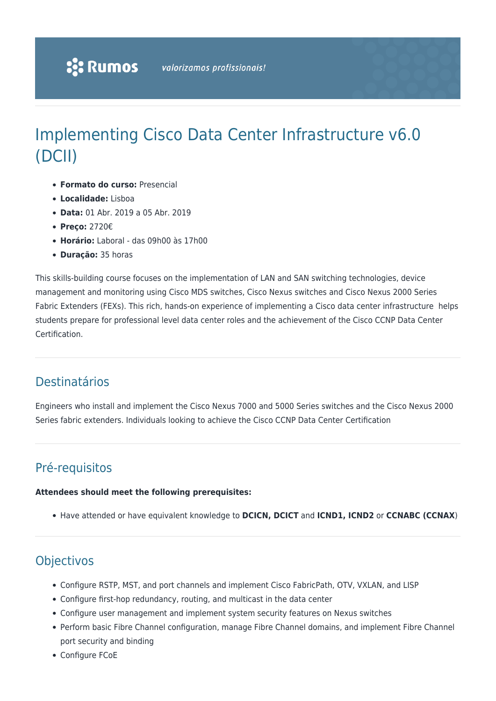# Implementing Cisco Data Center Infrastructure v6.0 (DCII)

- **Formato do curso:** Presencial
- **Localidade:** Lisboa
- **Data:** 01 Abr. 2019 a 05 Abr. 2019
- **Preço:** 2720€
- **Horário:** Laboral das 09h00 às 17h00
- **Duração:** 35 horas

This skills-building course focuses on the implementation of LAN and SAN switching technologies, device management and monitoring using Cisco MDS switches, Cisco Nexus switches and Cisco Nexus 2000 Series Fabric Extenders (FEXs). This rich, hands-on experience of implementing a Cisco data center infrastructure helps students prepare for professional level data center roles and the achievement of the Cisco CCNP Data Center Certification.

### Destinatários

Engineers who install and implement the Cisco Nexus 7000 and 5000 Series switches and the Cisco Nexus 2000 Series fabric extenders. Individuals looking to achieve the Cisco CCNP Data Center Certification

# Pré-requisitos

#### **Attendees should meet the following prerequisites:**

Have attended or have equivalent knowledge to **DCICN, DCICT** and **ICND1, ICND2** or **CCNABC (CCNAX**)

## **Objectivos**

- Configure RSTP, MST, and port channels and implement Cisco FabricPath, OTV, VXLAN, and LISP
- Configure first-hop redundancy, routing, and multicast in the data center
- Configure user management and implement system security features on Nexus switches
- Perform basic Fibre Channel configuration, manage Fibre Channel domains, and implement Fibre Channel port security and binding
- Configure FCoE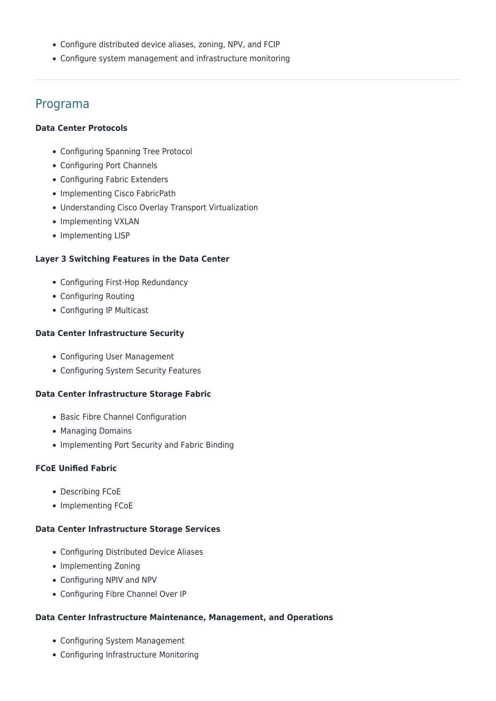- Configure distributed device aliases, zoning, NPV, and FCIP
- Configure system management and infrastructure monitoring

### Programa

#### **Data Center Protocols**

- Configuring Spanning Tree Protocol
- Configuring Port Channels
- Configuring Fabric Extenders
- Implementing Cisco FabricPath
- Understanding Cisco Overlay Transport Virtualization
- Implementing VXLAN
- Implementing LISP

#### **Layer 3 Switching Features in the Data Center**

- Configuring First-Hop Redundancy
- Configuring Routing
- Configuring IP Multicast

#### **Data Center Infrastructure Security**

- Configuring User Management
- Configuring System Security Features

#### **Data Center Infrastructure Storage Fabric**

- Basic Fibre Channel Configuration
- Managing Domains
- Implementing Port Security and Fabric Binding

#### **FCoE Unified Fabric**

- Describing FCoE
- Implementing FCoE

#### **Data Center Infrastructure Storage Services**

- Configuring Distributed Device Aliases
- Implementing Zoning
- Configuring NPIV and NPV
- Configuring Fibre Channel Over IP

#### **Data Center Infrastructure Maintenance, Management, and Operations**

- Configuring System Management
- Configuring Infrastructure Monitoring